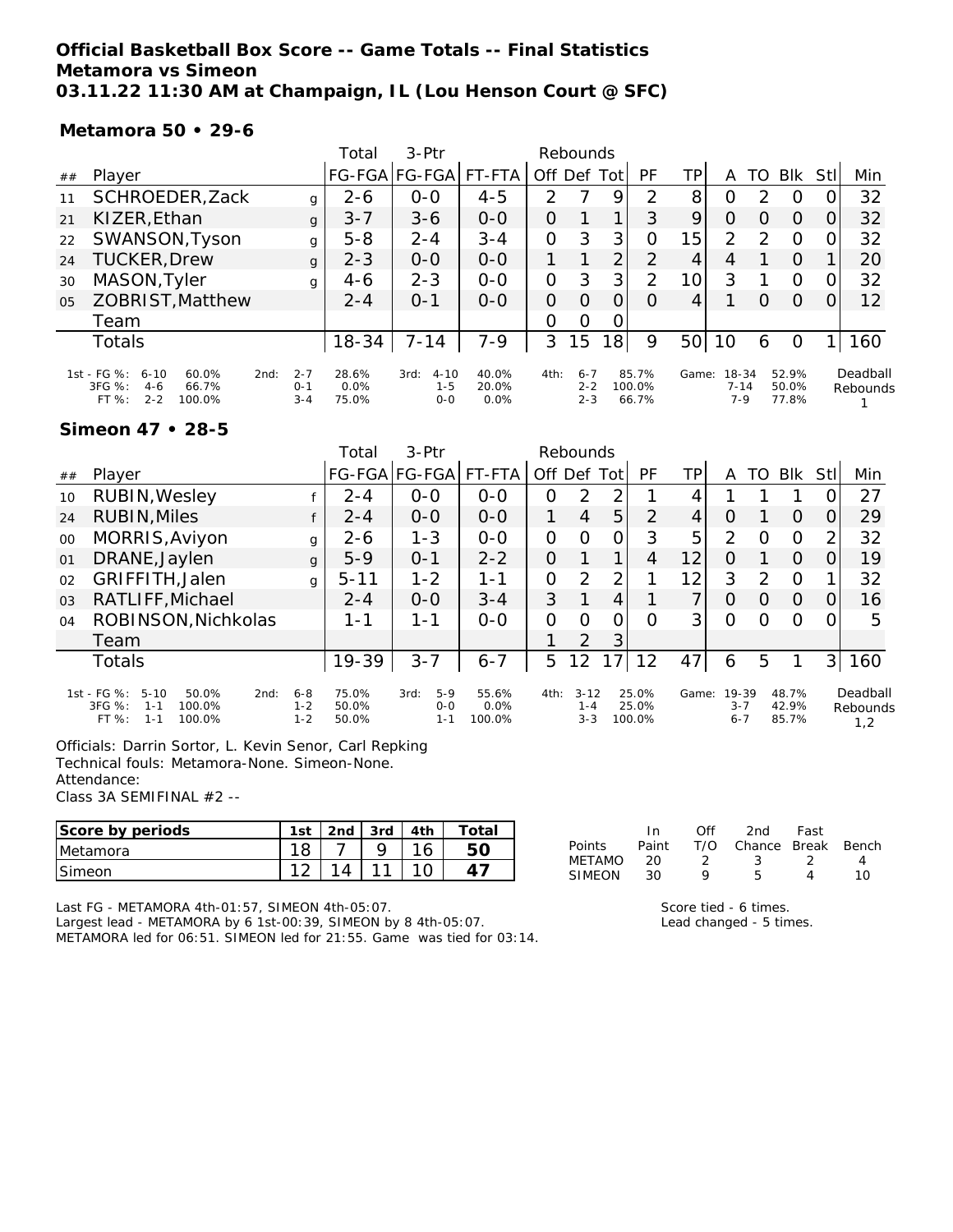### **Official Basketball Box Score -- Game Totals -- Final Statistics Metamora vs Simeon 03.11.22 11:30 AM at Champaign, IL (Lou Henson Court @ SFC)**

**Metamora 50 • 29-6**

|                |                                                                                                             |                               | Total                  | $3-Ptr$                                | Rebounds               |                |                               |                 |                          |                 |                            |          |                         |      |                      |
|----------------|-------------------------------------------------------------------------------------------------------------|-------------------------------|------------------------|----------------------------------------|------------------------|----------------|-------------------------------|-----------------|--------------------------|-----------------|----------------------------|----------|-------------------------|------|----------------------|
| ##             | Player                                                                                                      |                               |                        | FG-FGA FG-FGA                          | FT-FTA                 | Off            | Def                           | Tot             | PF                       | TP              | Α                          | TO       | <b>BIK</b>              | Stll | Min                  |
| 11             | SCHROEDER, Zack                                                                                             | g                             | $2 - 6$                | $0 - 0$                                | $4 - 5$                | $\mathcal{P}$  |                               | 9               | っ                        | 8               | O                          | っ        | O                       |      | 32                   |
| 21             | KIZER, Ethan                                                                                                | g                             | $3 - 7$                | $3 - 6$                                | $0-0$                  | O              |                               |                 | 3                        | 9               | O                          | O        | O                       | ΟI   | 32                   |
| 22             | SWANSON, Tyson                                                                                              | $5 - 8$                       | $2 - 4$                | $3 - 4$                                | 0                      | 3              | 3                             | O               | 1<br>5                   | 2               | っ                          | $\Omega$ | ΩI                      | 32   |                      |
| 24             | <b>TUCKER, Drew</b>                                                                                         | $2 - 3$                       | $0 - 0$                | $0 - 0$                                |                        |                | 2                             | $\mathcal{P}$   | 4                        | 4               |                            | $\Omega$ |                         | 20   |                      |
| 30             | MASON, Tyler                                                                                                | g                             | $4-6$                  | $2 - 3$                                | $0 - 0$                | $\overline{O}$ | 3                             | 3               | $\overline{2}$           | 10 <sup>1</sup> | 3                          |          | $\circ$                 |      | 32                   |
| 0 <sub>5</sub> | ZOBRIST, Matthew                                                                                            |                               | $2 - 4$                | $O - 1$                                | $0 - 0$                | $\Omega$       | $\Omega$                      | 0               | O                        |                 |                            | O        | $\Omega$                |      | 12                   |
|                | Team                                                                                                        |                               |                        |                                        |                        | 0              | 0                             | 0               |                          |                 |                            |          |                         |      |                      |
|                | Totals                                                                                                      |                               | 18-34                  | $7 - 14$                               | $7 - 9$                | 3              | 15                            | 18 <sub>l</sub> | 9                        | 50 <sup>2</sup> | 10                         | 6        | 0                       |      | 160                  |
|                | 1st - FG %:<br>$6 - 10$<br>$60.0\%$<br>2nd:<br>$3FG \%$ :<br>$4 - 6$<br>66.7%<br>FT %:<br>$2 - 2$<br>100.0% | $2 - 7$<br>$O - 1$<br>$3 - 4$ | 28.6%<br>0.0%<br>75.0% | $4 - 10$<br>3rd:<br>$1 - 5$<br>$0 - 0$ | 40.0%<br>20.0%<br>0.0% | 4th:           | $6 - 7$<br>$2 - 2$<br>$2 - 3$ |                 | 85.7%<br>100.0%<br>66.7% | Game:           | 18-34<br>$7 - 14$<br>$7-9$ |          | 52.9%<br>50.0%<br>77.8% |      | Deadball<br>Rebounds |

#### **Simeon 47 • 28-5**

|    |                                                                                                         |                               | Total                   | $3-Ptr$                         | Rebounds                |          |                                |             |                          |       |                             |    |                         |                |                             |
|----|---------------------------------------------------------------------------------------------------------|-------------------------------|-------------------------|---------------------------------|-------------------------|----------|--------------------------------|-------------|--------------------------|-------|-----------------------------|----|-------------------------|----------------|-----------------------------|
| ## | Player                                                                                                  |                               |                         | FG-FGA FG-FGA                   | FT-FTA                  | Off Def  |                                | <b>Totl</b> | PF                       | ΤP    | А                           | TO | <b>BIK</b>              | Stll           | Min                         |
| 10 | RUBIN, Wesley                                                                                           |                               | $2 - 4$                 | $0 - 0$                         | $0-0$                   | 0        | 2                              | 2           |                          |       |                             |    |                         |                | 27                          |
| 24 | <b>RUBIN, Miles</b>                                                                                     |                               | $2 - 4$                 | $0-0$                           | $0 - 0$                 | 1        | 4                              | 5           | $\mathcal{P}$            | 4     | O                           |    | O                       | 0              | 29                          |
| 00 | MORRIS, Aviyon                                                                                          | g                             | 2-6                     | $1 - 3$                         | $0-0$                   | $\Omega$ | $\Omega$                       | 0           | 3                        | 5     | 2                           | Ω  | $\circ$                 | $\overline{2}$ | 32                          |
| 01 | DRANE, Jaylen                                                                                           | g                             | $5-9$                   | $O - 1$                         | $2 - 2$                 | $\Omega$ |                                | 1           | 4                        | 12    | $\circ$                     |    | $\Omega$                | O.             | 19                          |
| 02 | GRIFFITH, Jalen                                                                                         | g                             | $5 - 11$                | $1 - 2$                         | 1-1                     | 0        | 2                              | 2           |                          | 12    | 3                           | 2  | $\Omega$                |                | 32                          |
| 03 | RATLIFF, Michael                                                                                        |                               | $2 - 4$                 | $0 - 0$                         | $3 - 4$                 | 3        |                                | 4           |                          | 7     | $\circ$                     | O  | $\Omega$                | O              | 16                          |
| 04 | ROBINSON, Nichkolas                                                                                     |                               | 1 - 1                   | $1 - 1$                         | $0 - 0$                 | $\Omega$ | $\Omega$                       | 0           | $\Omega$                 | 3     | $\Omega$                    | ∩  | Ω                       | 0              | 5                           |
|    | Team                                                                                                    |                               |                         |                                 |                         |          | $\mathcal{P}$                  | 3           |                          |       |                             |    |                         |                |                             |
|    | <b>Totals</b>                                                                                           |                               | 19-39                   | $3 - 7$                         | $6 - 7$                 | 5        | 12                             | 171         | 12                       | 47    | 6                           | 5  |                         | 3              | 160                         |
|    | 1st - FG %:<br>$5 - 10$<br>50.0%<br>2nd:<br>3FG %:<br>$1 - 1$<br>100.0%<br>100.0%<br>$FT%$ :<br>$1 - 1$ | $6 - 8$<br>$1 - 2$<br>$1 - 2$ | 75.0%<br>50.0%<br>50.0% | $5-9$<br>3rd:<br>$O - O$<br>1-1 | 55.6%<br>0.0%<br>100.0% | 4th:     | $3 - 12$<br>$1 - 4$<br>$3 - 3$ |             | 25.0%<br>25.0%<br>100.0% | Game: | 19-39<br>$3 - 7$<br>$6 - 7$ |    | 48.7%<br>42.9%<br>85.7% |                | Deadball<br>Rebounds<br>1.2 |

Officials: Darrin Sortor, L. Kevin Senor, Carl Repking Technical fouls: Metamora-None. Simeon-None. Attendance:

Class 3A SEMIFINAL #2 --

| Score by periods | 1st    | 2 <sub>nd</sub> | 3rd |        | Total |
|------------------|--------|-----------------|-----|--------|-------|
| Metamora         |        |                 |     | $\sim$ |       |
| Simeon           | $\sim$ |                 |     |        |       |

In Off 2nd Fast Points Paint T/O Chance Break Bench METAMO 20 2 3 2 4<br>SIMEON 30 9 5 4 10 SIMEON 30 9 5 4

Last FG - METAMORA 4th-01:57, SIMEON 4th-05:07. Largest lead - METAMORA by 6 1st-00:39, SIMEON by 8 4th-05:07. METAMORA led for 06:51. SIMEON led for 21:55. Game was tied for 03:14. Score tied - 6 times. Lead changed - 5 times.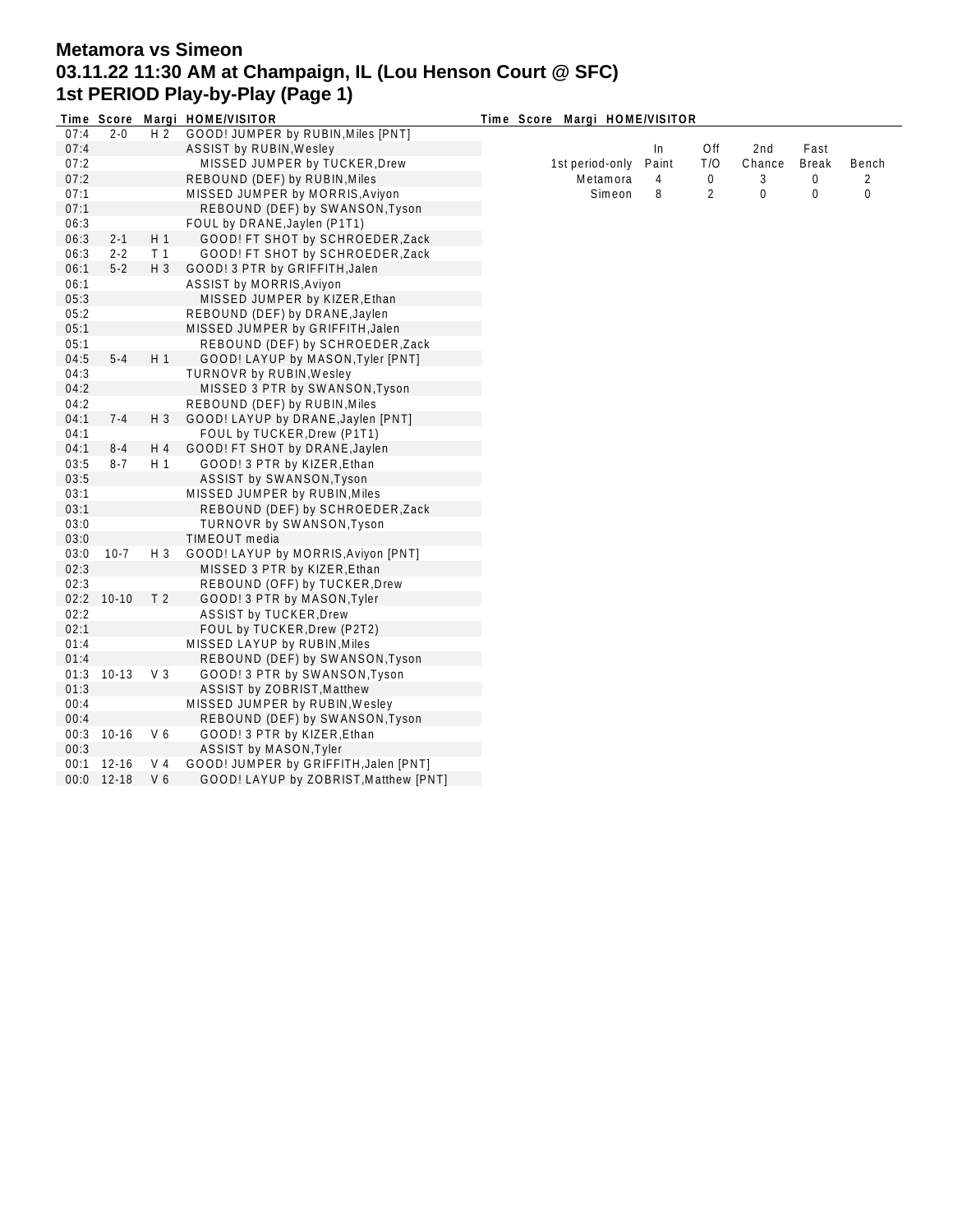# **Metamora vs Simeon 03.11.22 11:30 AM at Champaign, IL (Lou Henson Court @ SFC) 1st PERIOD Play-by-Play (Page 1)**

|      | Time Score   |                | Margi HOME/VISITOR                    | Time Score Margi HOME/VISITOR |       |     |             |              |       |
|------|--------------|----------------|---------------------------------------|-------------------------------|-------|-----|-------------|--------------|-------|
| 07:4 | $2 - 0$      | H <sub>2</sub> | GOOD! JUMPER by RUBIN, Miles [PNT]    |                               |       |     |             |              |       |
| 07:4 |              |                | ASSIST by RUBIN, Wesley               |                               | In    | Off | 2nd         | Fast         |       |
| 07:2 |              |                | MISSED JUMPER by TUCKER, Drew         | 1st period-only               | Paint | T/O | Chance      | <b>Break</b> | Bench |
| 07:2 |              |                | REBOUND (DEF) by RUBIN, Miles         | Metamora                      | 4     | 0   | 3           | 0            | 2     |
| 07:1 |              |                | MISSED JUMPER by MORRIS, Aviyon       | Simeon                        | 8     | 2   | $\mathbf 0$ | 0            | 0     |
| 07:1 |              |                | REBOUND (DEF) by SWANSON, Tyson       |                               |       |     |             |              |       |
| 06:3 |              |                | FOUL by DRANE, Jaylen (P1T1)          |                               |       |     |             |              |       |
| 06:3 | $2 - 1$      | H1             | GOOD! FT SHOT by SCHROEDER, Zack      |                               |       |     |             |              |       |
| 06:3 | $2 - 2$      | T <sub>1</sub> | GOOD! FT SHOT by SCHROEDER, Zack      |                               |       |     |             |              |       |
| 06:1 | $5 - 2$      | H 3            | GOOD! 3 PTR by GRIFFITH, Jalen        |                               |       |     |             |              |       |
| 06:1 |              |                | ASSIST by MORRIS, Aviyon              |                               |       |     |             |              |       |
| 05:3 |              |                | MISSED JUMPER by KIZER, Ethan         |                               |       |     |             |              |       |
| 05:2 |              |                | REBOUND (DEF) by DRANE, Jaylen        |                               |       |     |             |              |       |
| 05:1 |              |                | MISSED JUMPER by GRIFFITH, Jalen      |                               |       |     |             |              |       |
| 05:1 |              |                | REBOUND (DEF) by SCHROEDER, Zack      |                               |       |     |             |              |       |
| 04:5 | $5 - 4$      | H 1            | GOOD! LAYUP by MASON, Tyler [PNT]     |                               |       |     |             |              |       |
| 04:3 |              |                | <b>TURNOVR by RUBIN, Wesley</b>       |                               |       |     |             |              |       |
| 04:2 |              |                | MISSED 3 PTR by SWANSON, Tyson        |                               |       |     |             |              |       |
| 04:2 |              |                | REBOUND (DEF) by RUBIN, Miles         |                               |       |     |             |              |       |
| 04:1 | $7 - 4$      | $H_3$          | GOOD! LAYUP by DRANE, Jaylen [PNT]    |                               |       |     |             |              |       |
| 04:1 |              |                | FOUL by TUCKER, Drew (P1T1)           |                               |       |     |             |              |       |
| 04:1 | $8 - 4$      | H 4            | GOOD! FT SHOT by DRANE, Jaylen        |                               |       |     |             |              |       |
| 03:5 | $8 - 7$      | H <sub>1</sub> | GOOD! 3 PTR by KIZER, Ethan           |                               |       |     |             |              |       |
| 03:5 |              |                | ASSIST by SWANSON, Tyson              |                               |       |     |             |              |       |
| 03:1 |              |                | MISSED JUMPER by RUBIN, Miles         |                               |       |     |             |              |       |
| 03:1 |              |                | REBOUND (DEF) by SCHROEDER, Zack      |                               |       |     |             |              |       |
| 03:0 |              |                | <b>TURNOVR by SWANSON, Tyson</b>      |                               |       |     |             |              |       |
| 03:0 |              |                | TIMEOUT media                         |                               |       |     |             |              |       |
| 03:0 | $10-7$       | $H_3$          | GOOD! LAYUP by MORRIS, Aviyon [PNT]   |                               |       |     |             |              |       |
| 02:3 |              |                | MISSED 3 PTR by KIZER, Ethan          |                               |       |     |             |              |       |
| 02:3 |              |                | REBOUND (OFF) by TUCKER, Drew         |                               |       |     |             |              |       |
|      | 02:2 10-10   | T <sub>2</sub> | GOOD! 3 PTR by MASON, Tyler           |                               |       |     |             |              |       |
| 02:2 |              |                | <b>ASSIST by TUCKER, Drew</b>         |                               |       |     |             |              |       |
| 02:1 |              |                | FOUL by TUCKER, Drew (P2T2)           |                               |       |     |             |              |       |
| 01:4 |              |                | MISSED LAYUP by RUBIN, Miles          |                               |       |     |             |              |       |
| 01:4 |              |                | REBOUND (DEF) by SWANSON, Tyson       |                               |       |     |             |              |       |
|      | $01:3$ 10-13 | V <sub>3</sub> | GOOD! 3 PTR by SWANSON, Tyson         |                               |       |     |             |              |       |
| 01:3 |              |                | ASSIST by ZOBRIST, Matthew            |                               |       |     |             |              |       |
| 00:4 |              |                | MISSED JUMPER by RUBIN, Wesley        |                               |       |     |             |              |       |
| 00:4 |              |                | REBOUND (DEF) by SWANSON, Tyson       |                               |       |     |             |              |       |
|      | 00:3 10-16   | V 6            | GOOD! 3 PTR by KIZER, Ethan           |                               |       |     |             |              |       |
| 00:3 |              |                | ASSIST by MASON, Tyler                |                               |       |     |             |              |       |
|      | 00:1 12-16   | V 4            | GOOD! JUMPER by GRIFFITH, Jalen [PNT] |                               |       |     |             |              |       |
| 0:00 | 12-18        | V <sub>6</sub> | GOOD! LAYUP by ZOBRIST, Matthew [PNT] |                               |       |     |             |              |       |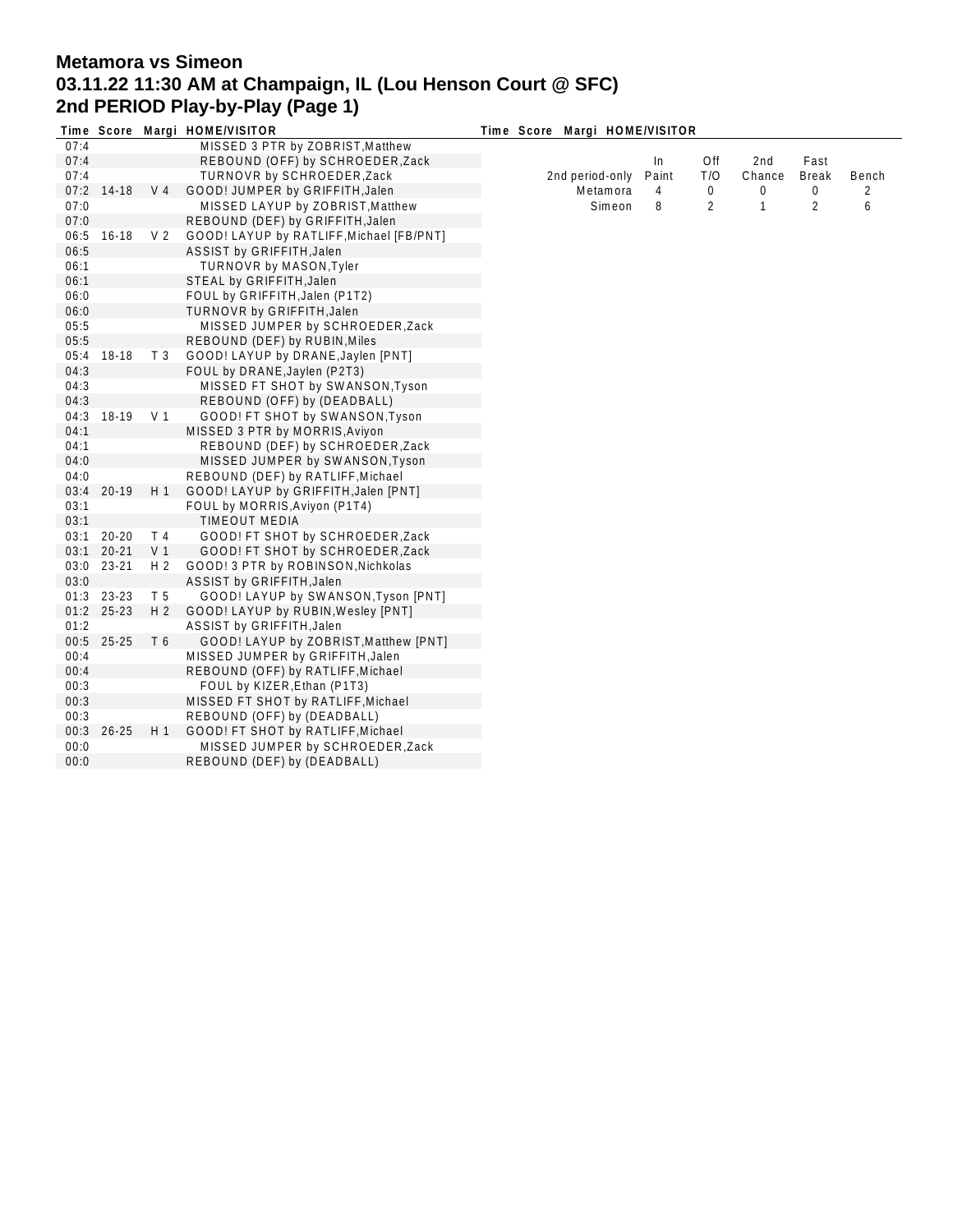## **Metamora vs Simeon 03.11.22 11:30 AM at Champaign, IL (Lou Henson Court @ SFC) 2nd PERIOD Play-by-Play (Page 1)**

|      |            |                | Time Score Margi HOME/VISITOR            | Time Score Margi HOME/VISITOR |       |             |                 |                |       |
|------|------------|----------------|------------------------------------------|-------------------------------|-------|-------------|-----------------|----------------|-------|
| 07:4 |            |                | MISSED 3 PTR by ZOBRIST, Matthew         |                               |       |             |                 |                |       |
| 07:4 |            |                | REBOUND (OFF) by SCHROEDER, Zack         |                               | In    | Off         | 2 <sub>nd</sub> | Fast           |       |
| 07:4 |            |                | TURNOVR by SCHROEDER, Zack               | 2nd period-only               | Paint | T/O         | Chance          | <b>Break</b>   | Bench |
| 07:2 | 14-18      | V 4            | GOOD! JUMPER by GRIFFITH, Jalen          | Metamora                      | 4     | $\mathbf 0$ | 0               | 0              | 2     |
| 07:0 |            |                | MISSED LAYUP by ZOBRIST, Matthew         | Simeon                        | 8     | 2           | 1               | $\overline{2}$ | 6     |
| 07:0 |            |                | REBOUND (DEF) by GRIFFITH, Jalen         |                               |       |             |                 |                |       |
| 06:5 | $16 - 18$  | V <sub>2</sub> | GOOD! LAYUP by RATLIFF, Michael [FB/PNT] |                               |       |             |                 |                |       |
| 06:5 |            |                | ASSIST by GRIFFITH, Jalen                |                               |       |             |                 |                |       |
| 06:1 |            |                | <b>TURNOVR by MASON, Tyler</b>           |                               |       |             |                 |                |       |
| 06:1 |            |                | STEAL by GRIFFITH, Jalen                 |                               |       |             |                 |                |       |
| 06:0 |            |                | FOUL by GRIFFITH, Jalen (P1T2)           |                               |       |             |                 |                |       |
| 06:0 |            |                | TURNOVR by GRIFFITH, Jalen               |                               |       |             |                 |                |       |
| 05:5 |            |                | MISSED JUMPER by SCHROEDER, Zack         |                               |       |             |                 |                |       |
| 05:5 |            |                | REBOUND (DEF) by RUBIN, Miles            |                               |       |             |                 |                |       |
| 05:4 | 18-18      | T <sub>3</sub> | GOOD! LAYUP by DRANE, Jaylen [PNT]       |                               |       |             |                 |                |       |
| 04:3 |            |                | FOUL by DRANE, Jaylen (P2T3)             |                               |       |             |                 |                |       |
| 04:3 |            |                | MISSED FT SHOT by SWANSON, Tyson         |                               |       |             |                 |                |       |
| 04:3 |            |                | REBOUND (OFF) by (DEADBALL)              |                               |       |             |                 |                |       |
| 04:3 | 18-19      | V 1            | GOOD! FT SHOT by SWANSON, Tyson          |                               |       |             |                 |                |       |
| 04:1 |            |                | MISSED 3 PTR by MORRIS, Aviyon           |                               |       |             |                 |                |       |
| 04:1 |            |                | REBOUND (DEF) by SCHROEDER, Zack         |                               |       |             |                 |                |       |
| 04:0 |            |                | MISSED JUMPER by SWANSON, Tyson          |                               |       |             |                 |                |       |
| 04:0 |            |                | REBOUND (DEF) by RATLIFF, Michael        |                               |       |             |                 |                |       |
| 03:4 | $20-19$    | H 1            | GOOD! LAYUP by GRIFFITH, Jalen [PNT]     |                               |       |             |                 |                |       |
| 03:1 |            |                | FOUL by MORRIS, Aviyon (P1T4)            |                               |       |             |                 |                |       |
| 03:1 |            |                | <b>TIMEOUT MEDIA</b>                     |                               |       |             |                 |                |       |
| 03:1 | $20 - 20$  | T 4            | GOOD! FT SHOT by SCHROEDER, Zack         |                               |       |             |                 |                |       |
| 03:1 | $20 - 21$  | V <sub>1</sub> | GOOD! FT SHOT by SCHROEDER, Zack         |                               |       |             |                 |                |       |
| 03:0 | 23-21      | H <sub>2</sub> | GOOD! 3 PTR by ROBINSON, Nichkolas       |                               |       |             |                 |                |       |
| 03:0 |            |                | ASSIST by GRIFFITH, Jalen                |                               |       |             |                 |                |       |
| 01:3 | 23-23      | T 5            | GOOD! LAYUP by SWANSON, Tyson [PNT]      |                               |       |             |                 |                |       |
|      | 01:2 25-23 | H <sub>2</sub> | GOOD! LAYUP by RUBIN, Wesley [PNT]       |                               |       |             |                 |                |       |
| 01:2 |            |                | ASSIST by GRIFFITH, Jalen                |                               |       |             |                 |                |       |
| 00:5 | $25 - 25$  | T 6            | GOOD! LAYUP by ZOBRIST, Matthew [PNT]    |                               |       |             |                 |                |       |
| 00:4 |            |                | MISSED JUMPER by GRIFFITH, Jalen         |                               |       |             |                 |                |       |
| 00:4 |            |                | REBOUND (OFF) by RATLIFF, Michael        |                               |       |             |                 |                |       |
| 00:3 |            |                | FOUL by KIZER, Ethan (P1T3)              |                               |       |             |                 |                |       |
| 00:3 |            |                | MISSED FT SHOT by RATLIFF, Michael       |                               |       |             |                 |                |       |
| 00:3 |            |                | REBOUND (OFF) by (DEADBALL)              |                               |       |             |                 |                |       |
| 00:3 | $26 - 25$  | H 1            | GOOD! FT SHOT by RATLIFF, Michael        |                               |       |             |                 |                |       |
| 00:0 |            |                | MISSED JUMPER by SCHROEDER, Zack         |                               |       |             |                 |                |       |
| 00:0 |            |                | REBOUND (DEF) by (DEADBALL)              |                               |       |             |                 |                |       |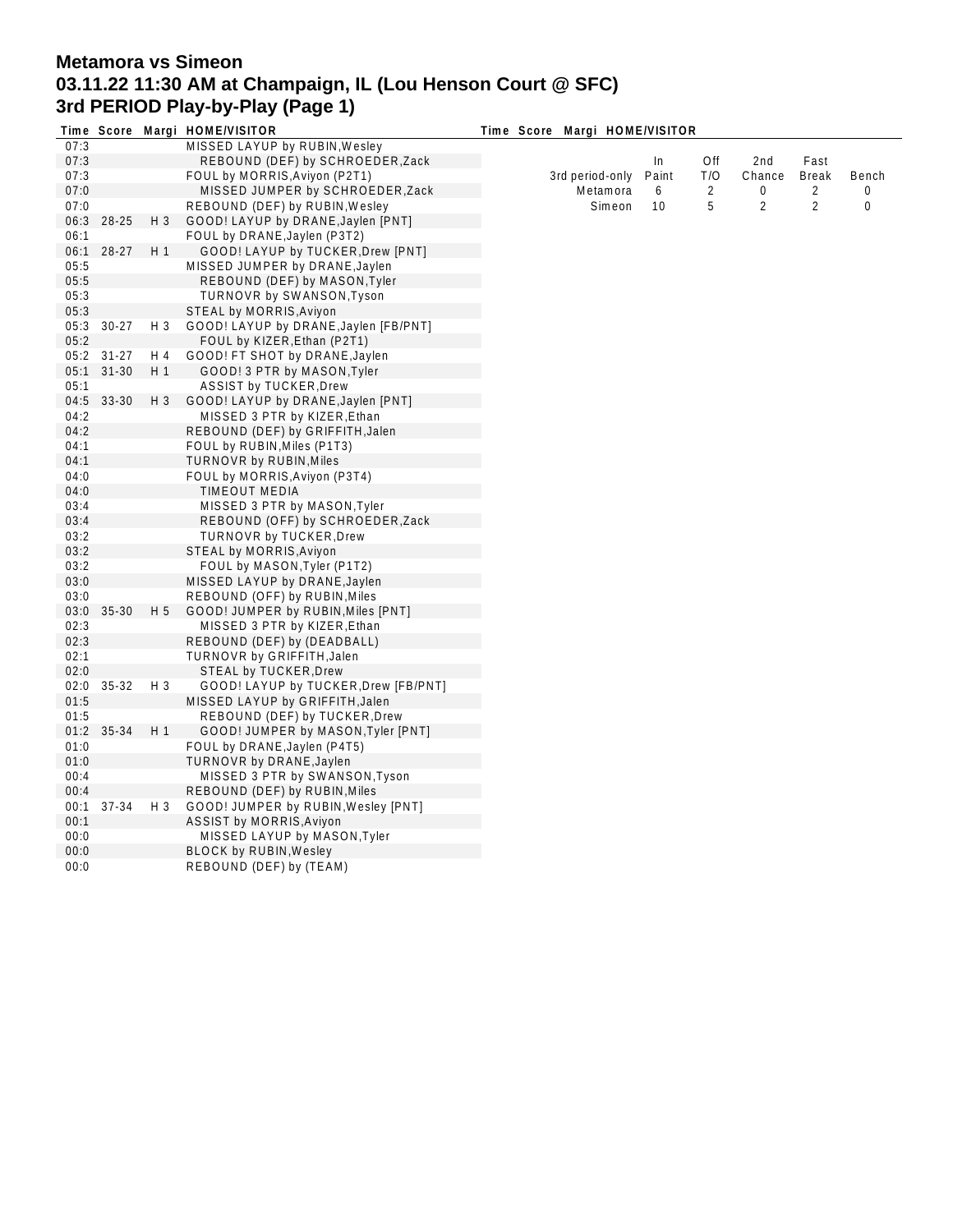## **Metamora vs Simeon 03.11.22 11:30 AM at Champaign, IL (Lou Henson Court @ SFC) 3rd PERIOD Play-by-Play (Page 1)**

|      |            |                | Time Score Margi HOME/VISITOR         | Time Score Margi HOME/VISITOR |       |                |                |                |             |
|------|------------|----------------|---------------------------------------|-------------------------------|-------|----------------|----------------|----------------|-------------|
| 07:3 |            |                | MISSED LAYUP by RUBIN, Wesley         |                               |       |                |                |                |             |
| 07:3 |            |                | REBOUND (DEF) by SCHROEDER, Zack      |                               | In    | Off            | 2nd            | Fast           |             |
| 07:3 |            |                | FOUL by MORRIS, Aviyon (P2T1)         | 3rd period-only               | Paint | T/O            | Chance         | <b>Break</b>   | Bench       |
| 07:0 |            |                | MISSED JUMPER by SCHROEDER, Zack      | Metamora                      | 6     | $\overline{2}$ | 0              | $\overline{2}$ | 0           |
| 07:0 |            |                | REBOUND (DEF) by RUBIN, Wesley        | Simeon                        | 10    | 5              | $\overline{2}$ | $\overline{2}$ | $\mathbf 0$ |
| 06:3 | 28-25      | $H_3$          | GOOD! LAYUP by DRANE, Jaylen [PNT]    |                               |       |                |                |                |             |
| 06:1 |            |                | FOUL by DRANE, Jaylen (P3T2)          |                               |       |                |                |                |             |
| 06:1 | $28-27$    | H <sub>1</sub> | GOOD! LAYUP by TUCKER, Drew [PNT]     |                               |       |                |                |                |             |
| 05:5 |            |                | MISSED JUMPER by DRANE, Jaylen        |                               |       |                |                |                |             |
| 05:5 |            |                | REBOUND (DEF) by MASON, Tyler         |                               |       |                |                |                |             |
| 05:3 |            |                | TURNOVR by SWANSON, Tyson             |                               |       |                |                |                |             |
| 05:3 |            |                | STEAL by MORRIS, Aviyon               |                               |       |                |                |                |             |
| 05:3 | $30 - 27$  | $H_3$          | GOOD! LAYUP by DRANE, Jaylen [FB/PNT] |                               |       |                |                |                |             |
| 05:2 |            |                | FOUL by KIZER, Ethan (P2T1)           |                               |       |                |                |                |             |
|      | 05:2 31-27 | H 4            | GOOD! FT SHOT by DRANE, Jaylen        |                               |       |                |                |                |             |
| 05:1 |            |                |                                       |                               |       |                |                |                |             |
|      | $31 - 30$  | H <sub>1</sub> | GOOD! 3 PTR by MASON, Tyler           |                               |       |                |                |                |             |
| 05:1 | 04:5 33-30 |                | <b>ASSIST by TUCKER, Drew</b>         |                               |       |                |                |                |             |
|      |            | $H_3$          | GOOD! LAYUP by DRANE, Jaylen [PNT]    |                               |       |                |                |                |             |
| 04:2 |            |                | MISSED 3 PTR by KIZER, Ethan          |                               |       |                |                |                |             |
| 04:2 |            |                | REBOUND (DEF) by GRIFFITH, Jalen      |                               |       |                |                |                |             |
| 04:1 |            |                | FOUL by RUBIN, Miles (P1T3)           |                               |       |                |                |                |             |
| 04:1 |            |                | <b>TURNOVR by RUBIN, Miles</b>        |                               |       |                |                |                |             |
| 04:0 |            |                | FOUL by MORRIS, Aviyon (P3T4)         |                               |       |                |                |                |             |
| 04:0 |            |                | <b>TIMEOUT MEDIA</b>                  |                               |       |                |                |                |             |
| 03:4 |            |                | MISSED 3 PTR by MASON, Tyler          |                               |       |                |                |                |             |
| 03:4 |            |                | REBOUND (OFF) by SCHROEDER, Zack      |                               |       |                |                |                |             |
| 03:2 |            |                | <b>TURNOVR by TUCKER, Drew</b>        |                               |       |                |                |                |             |
| 03:2 |            |                | STEAL by MORRIS, Aviyon               |                               |       |                |                |                |             |
| 03:2 |            |                | FOUL by MASON, Tyler (P1T2)           |                               |       |                |                |                |             |
| 03:0 |            |                | MISSED LAYUP by DRANE, Jaylen         |                               |       |                |                |                |             |
| 03:0 |            |                | REBOUND (OFF) by RUBIN, Miles         |                               |       |                |                |                |             |
| 03:0 | 35-30      | H <sub>5</sub> | GOOD! JUMPER by RUBIN, Miles [PNT]    |                               |       |                |                |                |             |
| 02:3 |            |                | MISSED 3 PTR by KIZER, Ethan          |                               |       |                |                |                |             |
| 02:3 |            |                | REBOUND (DEF) by (DEADBALL)           |                               |       |                |                |                |             |
| 02:1 |            |                | TURNOVR by GRIFFITH, Jalen            |                               |       |                |                |                |             |
| 02:0 |            |                | STEAL by TUCKER, Drew                 |                               |       |                |                |                |             |
| 02:0 | $35 - 32$  | $H_3$          | GOOD! LAYUP by TUCKER, Drew [FB/PNT]  |                               |       |                |                |                |             |
| 01:5 |            |                | MISSED LAYUP by GRIFFITH, Jalen       |                               |       |                |                |                |             |
| 01:5 |            |                | REBOUND (DEF) by TUCKER, Drew         |                               |       |                |                |                |             |
| 01:2 | 35-34      | H <sub>1</sub> | GOOD! JUMPER by MASON, Tyler [PNT]    |                               |       |                |                |                |             |
| 01:0 |            |                | FOUL by DRANE, Jaylen (P4T5)          |                               |       |                |                |                |             |
| 01:0 |            |                | <b>TURNOVR by DRANE, Jaylen</b>       |                               |       |                |                |                |             |
| 00:4 |            |                | MISSED 3 PTR by SWANSON, Tyson        |                               |       |                |                |                |             |
| 00:4 |            |                | REBOUND (DEF) by RUBIN, Miles         |                               |       |                |                |                |             |
| 00:1 | 37-34      | $H_3$          | GOOD! JUMPER by RUBIN, Wesley [PNT]   |                               |       |                |                |                |             |
| 00:1 |            |                | ASSIST by MORRIS, Aviyon              |                               |       |                |                |                |             |
| 00:0 |            |                | MISSED LAYUP by MASON, Tyler          |                               |       |                |                |                |             |
| 00:0 |            |                | <b>BLOCK by RUBIN, Wesley</b>         |                               |       |                |                |                |             |
| 00:0 |            |                | REBOUND (DEF) by (TEAM)               |                               |       |                |                |                |             |
|      |            |                |                                       |                               |       |                |                |                |             |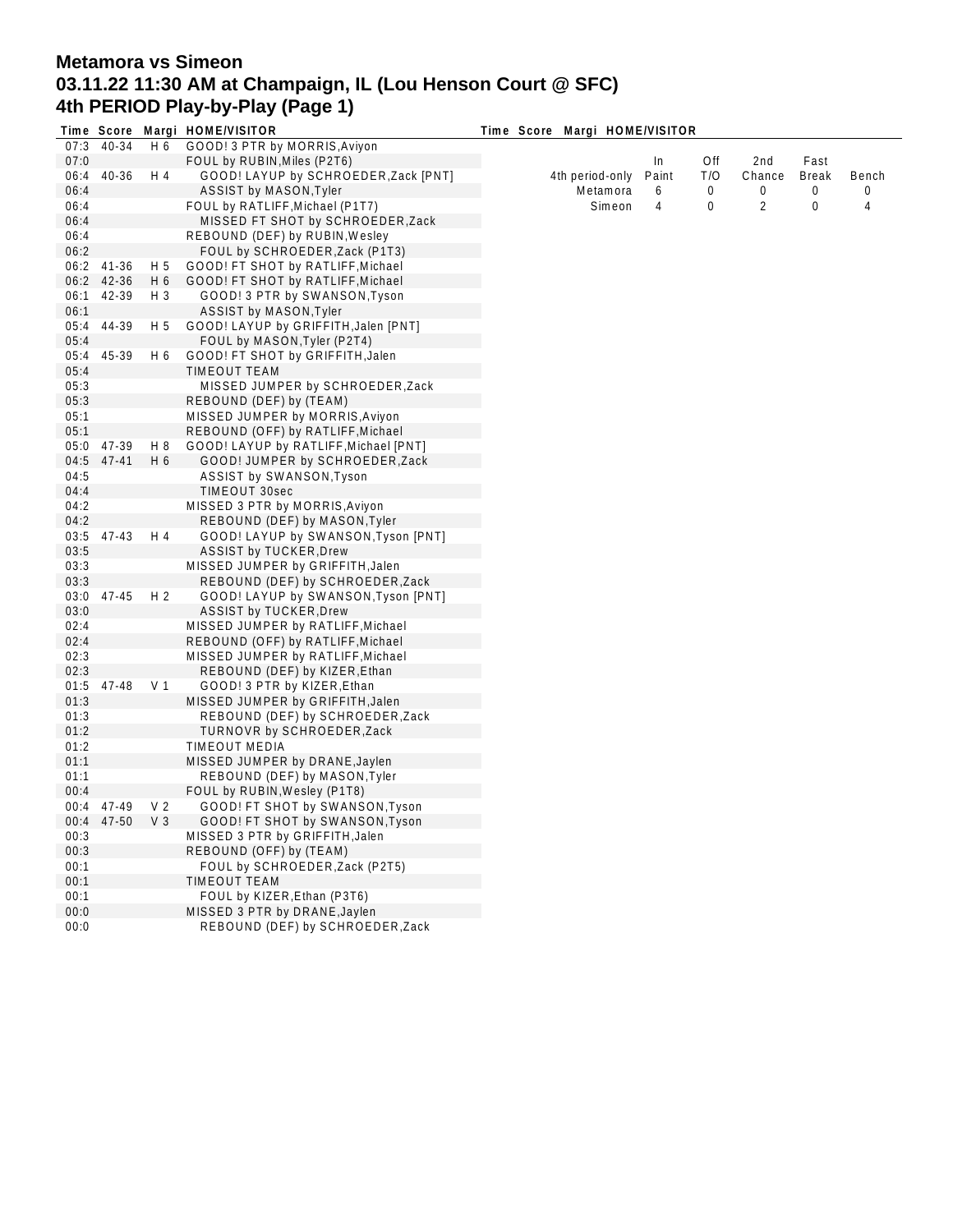## **Metamora vs Simeon 03.11.22 11:30 AM at Champaign, IL (Lou Henson Court @ SFC) 4th PERIOD Play-by-Play (Page 1)**

|      |               |                | Time Score Margi HOME/VISITOR         | Time Score Margi HOME/VISITOR |       |     |        |              |       |
|------|---------------|----------------|---------------------------------------|-------------------------------|-------|-----|--------|--------------|-------|
| 07:3 | 40-34         | H 6            | GOOD! 3 PTR by MORRIS, Aviyon         |                               |       |     |        |              |       |
| 07:0 |               |                | FOUL by RUBIN, Miles (P2T6)           |                               | In    | Off | 2nd    | Fast         |       |
| 06:4 | 40-36         | H 4            | GOOD! LAYUP by SCHROEDER, Zack [PNT]  | 4th period-only               | Paint | T/O | Chance | <b>Break</b> | Bench |
| 06:4 |               |                | ASSIST by MASON, Tyler                | Metamora                      | 6     | 0   | 0      | 0            | 0     |
| 06:4 |               |                | FOUL by RATLIFF, Michael (P1T7)       | Simeon                        | 4     | 0   | 2      | 0            | 4     |
| 06:4 |               |                | MISSED FT SHOT by SCHROEDER, Zack     |                               |       |     |        |              |       |
| 06:4 |               |                | REBOUND (DEF) by RUBIN, Wesley        |                               |       |     |        |              |       |
| 06:2 |               |                | FOUL by SCHROEDER, Zack (P1T3)        |                               |       |     |        |              |       |
| 06:2 | 41-36         | H 5            | GOOD! FT SHOT by RATLIFF, Michael     |                               |       |     |        |              |       |
|      | 06:2 42-36    | H 6            | GOOD! FT SHOT by RATLIFF, Michael     |                               |       |     |        |              |       |
| 06:1 | 42-39         | H 3            | GOOD! 3 PTR by SWANSON, Tyson         |                               |       |     |        |              |       |
| 06:1 |               |                | ASSIST by MASON, Tyler                |                               |       |     |        |              |       |
|      | 44-39         |                | GOOD! LAYUP by GRIFFITH, Jalen [PNT]  |                               |       |     |        |              |       |
| 05:4 |               | H 5            |                                       |                               |       |     |        |              |       |
| 05:4 |               |                | FOUL by MASON, Tyler (P2T4)           |                               |       |     |        |              |       |
| 05:4 | 45-39         | H 6            | GOOD! FT SHOT by GRIFFITH, Jalen      |                               |       |     |        |              |       |
| 05:4 |               |                | <b>TIMEOUT TEAM</b>                   |                               |       |     |        |              |       |
| 05:3 |               |                | MISSED JUMPER by SCHROEDER, Zack      |                               |       |     |        |              |       |
| 05:3 |               |                | REBOUND (DEF) by (TEAM)               |                               |       |     |        |              |       |
| 05:1 |               |                | MISSED JUMPER by MORRIS, Aviyon       |                               |       |     |        |              |       |
| 05:1 |               |                | REBOUND (OFF) by RATLIFF, Michael     |                               |       |     |        |              |       |
| 05:0 | 47-39         | H 8            | GOOD! LAYUP by RATLIFF, Michael [PNT] |                               |       |     |        |              |       |
| 04:5 | $47 - 41$     | H 6            | GOOD! JUMPER by SCHROEDER, Zack       |                               |       |     |        |              |       |
| 04:5 |               |                | ASSIST by SWANSON, Tyson              |                               |       |     |        |              |       |
| 04:4 |               |                | TIMEOUT 30sec                         |                               |       |     |        |              |       |
| 04:2 |               |                | MISSED 3 PTR by MORRIS, Aviyon        |                               |       |     |        |              |       |
| 04:2 |               |                | REBOUND (DEF) by MASON, Tyler         |                               |       |     |        |              |       |
| 03:5 | 47-43         | H 4            | GOOD! LAYUP by SWANSON, Tyson [PNT]   |                               |       |     |        |              |       |
| 03:5 |               |                | <b>ASSIST by TUCKER, Drew</b>         |                               |       |     |        |              |       |
| 03:3 |               |                | MISSED JUMPER by GRIFFITH, Jalen      |                               |       |     |        |              |       |
| 03:3 |               |                | REBOUND (DEF) by SCHROEDER, Zack      |                               |       |     |        |              |       |
| 03:0 | 47-45         | H <sub>2</sub> | GOOD! LAYUP by SWANSON, Tyson [PNT]   |                               |       |     |        |              |       |
| 03:0 |               |                | <b>ASSIST by TUCKER, Drew</b>         |                               |       |     |        |              |       |
| 02:4 |               |                | MISSED JUMPER by RATLIFF, Michael     |                               |       |     |        |              |       |
| 02:4 |               |                | REBOUND (OFF) by RATLIFF, Michael     |                               |       |     |        |              |       |
| 02:3 |               |                | MISSED JUMPER by RATLIFF, Michael     |                               |       |     |        |              |       |
| 02:3 |               |                | REBOUND (DEF) by KIZER, Ethan         |                               |       |     |        |              |       |
| 01:5 | 47-48         | V <sub>1</sub> | GOOD! 3 PTR by KIZER, Ethan           |                               |       |     |        |              |       |
| 01:3 |               |                | MISSED JUMPER by GRIFFITH, Jalen      |                               |       |     |        |              |       |
| 01:3 |               |                | REBOUND (DEF) by SCHROEDER, Zack      |                               |       |     |        |              |       |
| 01:2 |               |                | TURNOVR by SCHROEDER, Zack            |                               |       |     |        |              |       |
| 01:2 |               |                | <b>TIMEOUT MEDIA</b>                  |                               |       |     |        |              |       |
|      |               |                |                                       |                               |       |     |        |              |       |
| 01:1 |               |                | MISSED JUMPER by DRANE, Jaylen        |                               |       |     |        |              |       |
| 01:1 |               |                | REBOUND (DEF) by MASON, Tyler         |                               |       |     |        |              |       |
| 00:4 |               |                | FOUL by RUBIN, Wesley (P1T8)          |                               |       |     |        |              |       |
|      | 00:4 47-49    | V <sub>2</sub> | GOOD! FT SHOT by SWANSON, Tyson       |                               |       |     |        |              |       |
|      | 00:4 47-50 V3 |                | GOOD! FT SHOT by SWANSON, Tyson       |                               |       |     |        |              |       |
| 00:3 |               |                | MISSED 3 PTR by GRIFFITH, Jalen       |                               |       |     |        |              |       |
| 00:3 |               |                | REBOUND (OFF) by (TEAM)               |                               |       |     |        |              |       |
| 00:1 |               |                | FOUL by SCHROEDER, Zack (P2T5)        |                               |       |     |        |              |       |
| 00:1 |               |                | <b>TIMEOUT TEAM</b>                   |                               |       |     |        |              |       |
| 00:1 |               |                | FOUL by KIZER, Ethan (P3T6)           |                               |       |     |        |              |       |
| 00:0 |               |                | MISSED 3 PTR by DRANE, Jaylen         |                               |       |     |        |              |       |
| 00:0 |               |                | REBOUND (DEF) by SCHROEDER, Zack      |                               |       |     |        |              |       |
|      |               |                |                                       |                               |       |     |        |              |       |